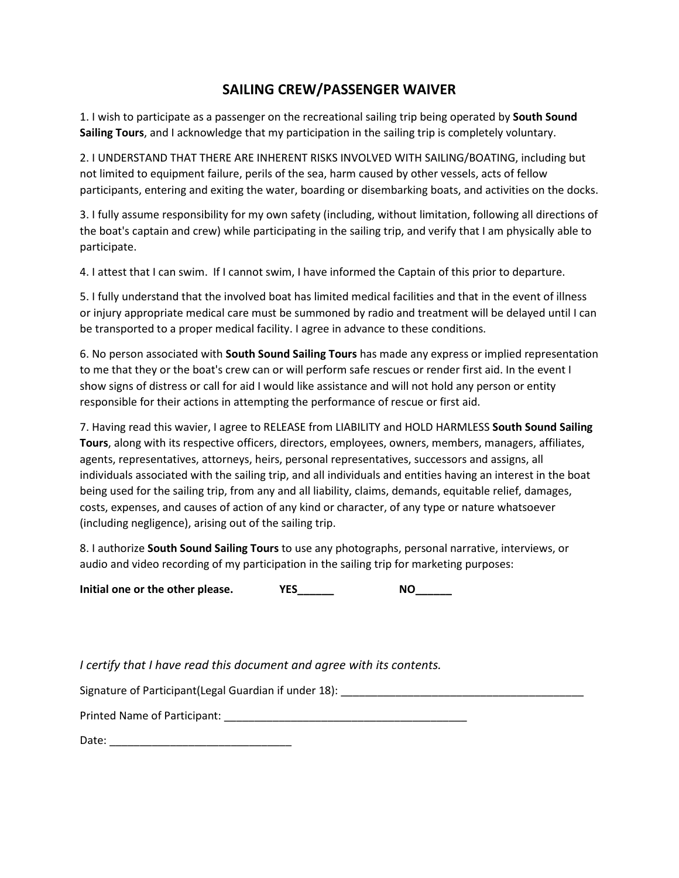## **SAILING CREW/PASSENGER WAIVER**

1. I wish to participate as a passenger on the recreational sailing trip being operated by **South Sound Sailing Tours**, and I acknowledge that my participation in the sailing trip is completely voluntary.

2. I UNDERSTAND THAT THERE ARE INHERENT RISKS INVOLVED WITH SAILING/BOATING, including but not limited to equipment failure, perils of the sea, harm caused by other vessels, acts of fellow participants, entering and exiting the water, boarding or disembarking boats, and activities on the docks.

3. I fully assume responsibility for my own safety (including, without limitation, following all directions of the boat's captain and crew) while participating in the sailing trip, and verify that I am physically able to participate.

4. I attest that I can swim. If I cannot swim, I have informed the Captain of this prior to departure.

5. I fully understand that the involved boat has limited medical facilities and that in the event of illness or injury appropriate medical care must be summoned by radio and treatment will be delayed until I can be transported to a proper medical facility. I agree in advance to these conditions.

6. No person associated with **South Sound Sailing Tours** has made any express or implied representation to me that they or the boat's crew can or will perform safe rescues or render first aid. In the event I show signs of distress or call for aid I would like assistance and will not hold any person or entity responsible for their actions in attempting the performance of rescue or first aid.

7. Having read this wavier, I agree to RELEASE from LIABILITY and HOLD HARMLESS **South Sound Sailing Tours**, along with its respective officers, directors, employees, owners, members, managers, affiliates, agents, representatives, attorneys, heirs, personal representatives, successors and assigns, all individuals associated with the sailing trip, and all individuals and entities having an interest in the boat being used for the sailing trip, from any and all liability, claims, demands, equitable relief, damages, costs, expenses, and causes of action of any kind or character, of any type or nature whatsoever (including negligence), arising out of the sailing trip.

8. I authorize **South Sound Sailing Tours** to use any photographs, personal narrative, interviews, or audio and video recording of my participation in the sailing trip for marketing purposes:

Initial one or the other please. YES\_\_\_\_\_\_ NO\_\_\_\_\_

*I certify that I have read this document and agree with its contents.* 

Signature of Participant(Legal Guardian if under 18): \_\_\_\_\_\_\_\_\_\_\_\_\_\_\_\_\_\_\_\_\_\_\_\_\_\_

Printed Name of Participant: **Example 20** 

Date: \_\_\_\_\_\_\_\_\_\_\_\_\_\_\_\_\_\_\_\_\_\_\_\_\_\_\_\_\_\_